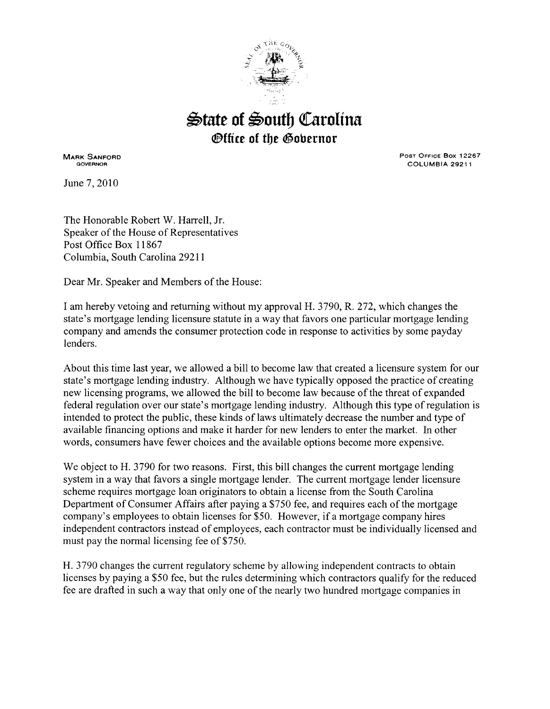

## $\triangle$ tate of  $\triangle$ outh Carolina *<u>@ffice</u>* **of the <b>@obernor**

MARK SANFORD GOVERNOR

June 7, 2010

POST OFFICE Box 12267 COLUMBIA 29211

The Honorable Robert W. Harrell, Jr. Speaker of the House of Representatives Post Office Box 11867 Columbia, South Carolina 29211

Dear Mr. Speaker and Members of the House:

I am hereby vetoing and returning without my approval H. 3790, R. 272, which changes the state's mortgage lending licensure statute in a way that favors one particular mortgage lending company and amends the consumer protection code in response to activities by some payday lenders.

About this time last year, we allowed a bill to become law that created a licensure system for our state's mortgage lending industry. Although we have typically opposed the practice of creating new licensing programs, we allowed the bill to become law because of the threat of expanded federal regulation over our state's mortgage lending industry. Although this type of regulation is intended to protect the public, these kinds of laws ultimately decrease the number and type of available financing options and make it harder for new lenders to enter the market. In other words, consumers have fewer choices and the available options become more expensive.

We object to H. 3790 for two reasons. First, this bill changes the current mortgage lending system in a way that favors a single mortgage lender. The current mortgage lender licensure scheme requires mortgage loan originators to obtain a license from the South Carolina Department of Consumer Affairs after paying a \$750 fee, and requires each of the mortgage company's employees to obtain licenses for \$50. However, if a mortgage company hires independent contractors instead of employees, each contractor must be individually licensed and must pay the normal licensing fee of \$750.

H. 3 790 changes the current regulatory scheme by allowing independent contracts to obtain licenses by paying a \$50 fee, but the rules determining which contractors qualify for the reduced fee are drafted in such a way that only one of the nearly two hundred mortgage companies in